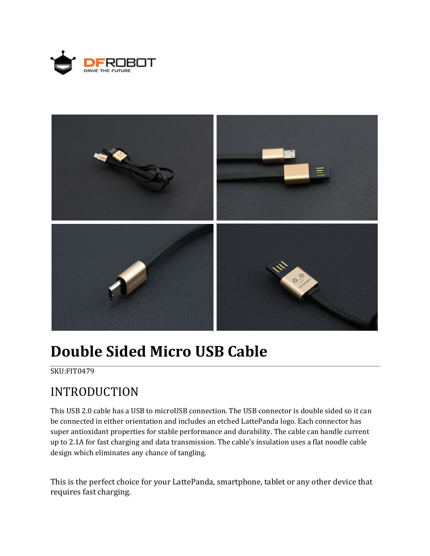



# **Double Sided Micro USB Cable**

#### SKU:FIT0479

# INTRODUCTION

This USB 2.0 cable has a USB to microUSB connection. The USB connector is double sided so it can be connected in either orientation and includes an etched LattePanda logo. Each connector has super antioxidant properties for stable performance and durability. The cable can handle current up to 2.1A for fast charging and data transmission. The cable's insulation uses a flat noodle cable design which eliminates any chance of tangling.

This is the perfect choice for your LattePanda, smartphone, tablet or any other device that requires fast charging.